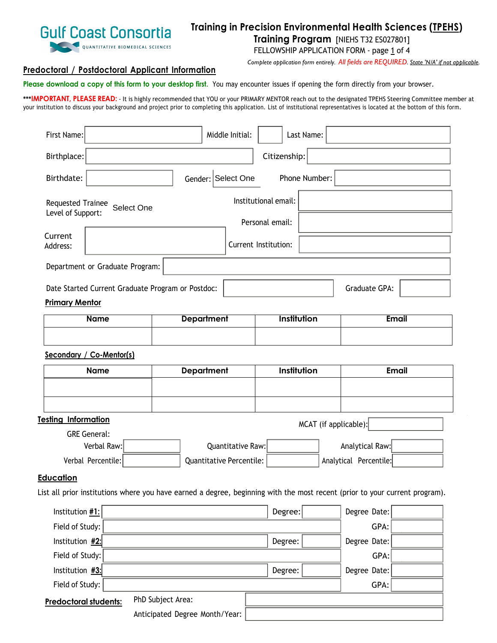

# **Training in Precision Environmental Health Sciences (TPEHS)**

**Training Program** [NIEHS T32 ES027801]

FELLOWSHIP APPLICATION FORM - page 1 of 4

*Complete application form entirely. All fields are REQUIRED. State 'N/A' if not applicable.* 

## **Predoctoral / Postdoctoral Applicant Information**

**Please download a copy of this form to your desktop first.** You may encounter issues if opening the form directly from your browser.

**\*\*\*IMPORTANT, PLEASE READ:** - It is highly recommended that YOU or your PRIMARY MENTOR reach out to the designated TPEHS Steering Committee member at your institution to discuss your background and project prior to completing this application. List of institutional representatives is located at the bottom of this form.

| First Name:                                                                                                                 |                   |                                | Middle Initial: |                      | Last Name:            |                        |              |
|-----------------------------------------------------------------------------------------------------------------------------|-------------------|--------------------------------|-----------------|----------------------|-----------------------|------------------------|--------------|
| Birthplace:                                                                                                                 |                   |                                |                 | Citizenship:         |                       |                        |              |
| Birthdate:                                                                                                                  |                   | Gender: Select One             |                 |                      | Phone Number:         |                        |              |
| Requested Trainee<br>Select One<br>Level of Support:                                                                        |                   |                                |                 | Institutional email: |                       |                        |              |
|                                                                                                                             |                   |                                |                 | Personal email:      |                       |                        |              |
| Current<br>Address:                                                                                                         |                   |                                |                 | Current Institution: |                       |                        |              |
| Department or Graduate Program:                                                                                             |                   |                                |                 |                      |                       |                        |              |
| Date Started Current Graduate Program or Postdoc:                                                                           |                   |                                |                 |                      |                       | Graduate GPA:          |              |
| <b>Primary Mentor</b>                                                                                                       |                   |                                |                 |                      |                       |                        |              |
| <b>Name</b>                                                                                                                 |                   | <b>Department</b>              |                 | Institution          |                       |                        | <b>Email</b> |
|                                                                                                                             |                   |                                |                 |                      |                       |                        |              |
| Secondary / Co-Mentor(s)                                                                                                    |                   |                                |                 |                      |                       |                        |              |
| <b>Name</b>                                                                                                                 |                   | <b>Department</b>              | Institution     |                      | <b>Email</b>          |                        |              |
|                                                                                                                             |                   |                                |                 |                      |                       |                        |              |
|                                                                                                                             |                   |                                |                 |                      |                       |                        |              |
| <b>Testing Information</b>                                                                                                  |                   |                                |                 |                      | MCAT (if applicable): |                        |              |
| <b>GRE General:</b>                                                                                                         |                   |                                |                 |                      |                       |                        |              |
| Verbal Raw:                                                                                                                 |                   | Quantitative Raw:              |                 | Analytical Raw:      |                       |                        |              |
| Verbal Percentile:                                                                                                          |                   | Quantitative Percentile:       |                 |                      |                       | Analytical Percentile: |              |
| <b>Education</b>                                                                                                            |                   |                                |                 |                      |                       |                        |              |
| List all prior institutions where you have earned a degree, beginning with the most recent (prior to your current program). |                   |                                |                 |                      |                       |                        |              |
| Institution #1:                                                                                                             |                   |                                |                 | Degree:              |                       | Degree Date:           |              |
| Field of Study:                                                                                                             |                   |                                |                 |                      |                       | GPA:                   |              |
| Institution $#2$ :<br>Degree:                                                                                               |                   |                                | Degree Date:    |                      |                       |                        |              |
| Field of Study:                                                                                                             |                   |                                |                 |                      |                       | GPA:                   |              |
| Institution $#3$ :                                                                                                          |                   |                                |                 | Degree:              |                       | Degree Date:           |              |
| Field of Study:                                                                                                             |                   |                                |                 |                      |                       | GPA:                   |              |
| Predoctoral students:                                                                                                       | PhD Subject Area: |                                |                 |                      |                       |                        |              |
|                                                                                                                             |                   | Anticipated Degree Month/Year: |                 |                      |                       |                        |              |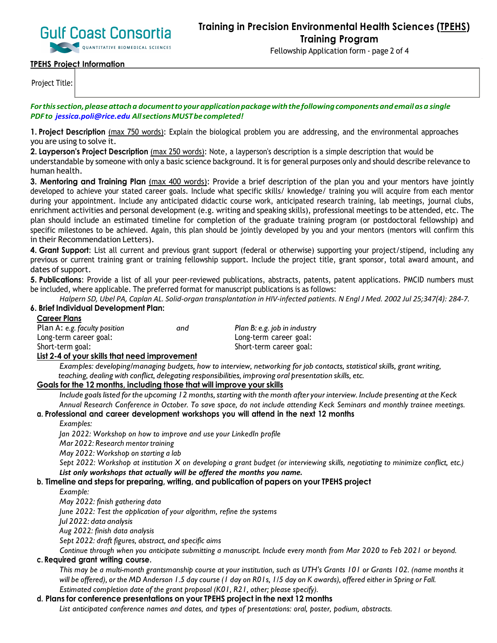

Fellowship Application form - page 2 of 4

## **TPEHS Project Information**

Project Title:

*Forthissection,pleaseattacha documenttoyourapplicationpackagewiththefollowingcomponentsandemailasa single PDFto jessica.poli@rice.edu AllsectionsMUSTbecompleted!*

**1. Project Description** (max 750 words): Explain the biological problem you are addressing, and the environmental approaches you are using to solve it.

**2. Layperson's Project Description** (max 250 words): Note, a layperson's description is a simple description that would be understandable by someone with only a basic science background. It is for general purposes only and should describe relevance to human health.

**3. Mentoring and Training Plan** (max 400 words): Provide a brief description of the plan you and your mentors have jointly developed to achieve your stated career goals. Include what specific skills/ knowledge/ training you will acquire from each mentor during your appointment. Include any anticipated didactic course work, anticipated research training, lab meetings, journal clubs, enrichment activities and personal development (e.g. writing and speaking skills), professional meetings to be attended, etc. The plan should include an estimated timeline for completion of the graduate training program (or postdoctoral fellowship) and specific milestones to be achieved. Again, this plan should be jointly developed by you and your mentors (mentors will confirm this in their Recommendation Letters).

**4. Grant Support**: List all current and previous grant support (federal or otherwise) supporting your project/stipend, including any previous or current training grant or training fellowship support. Include the project title, grant sponsor, total award amount, and dates of support.

**5. Publications**: Provide a list of all your peer-reviewed publications, abstracts, patents, patent applications. PMCID numbers must be included, where applicable. The preferred format for manuscript publications is as follows:

Halpern SD, Ubel PA, Caplan AL. Solid-organ transplantation in HIV-infected patients. N Engl J Med. 2002 Jul 25;347(4): 284-7. **6. Brief Individual Development Plan:**

## **Career Plans**

| Plan A: e.g. faculty position | and | Plan B: e.g. job in industry |
|-------------------------------|-----|------------------------------|
| Long-term career goal:        |     | Long-term career goal:       |
| Short-term goal:              |     | Short-term career goal:      |

#### **List 2-4 of your skills that need improvement**

*Examples: developing/managing budgets, how to interview, networking for job contacts, statistical skills, grant writing, teaching, dealing with conflict, delegating responsibilities, improving oral presentation skills, etc.*

## **Goals for the 12 months, including those that will improve your skills**

Include goals listed for the upcoming 12 months, starting with the month after your interview. Include presenting at the Keck *Annual Research Conference in October. To save space, do not include attending Keck Seminars and monthly trainee meetings.*

#### **a. Professional and career development workshops you will attend in the next 12 months**

*Examples:*

*Jan 2022: Workshop on how to improve and use your LinkedIn profile*

*Mar 2022: Research mentor training*

*May 2022: Workshop on starting a lab*

Sept 2022: Workshop at institution X on developing a grant budget (or interviewing skills, negotiating to minimize conflict, etc.) *List only workshops that actually will be offered the months you name.*

#### **b. Timeline and steps for preparing, writing, and publication of papers on your TPEHS project**

*Example:*

*May 2022: finish gathering data*

*June 2022: Test the application of your algorithm, refine the systems*

*Jul 2022: data analysis*

*Aug 2022: finish data analysis*

*Sept 2022: draft figures, abstract, and specific aims*

Continue through when you anticipate submitting a manuscript. Include every month from Mar 2020 to Feb 2021 or beyond.

#### **c. Required grant writing course**.

This may be a multi-month grantsmanship course at your institution, such as UTH's Grants 101 or Grants 102. (name months it will be offered), or the MD Anderson 1.5 day course (1 day on RO1s, 1/5 day on K awards), offered either in Spring or Fall. *Estimated completion date of the grant proposal (K01, R21, other; please specify).*

#### **d. Plans for conference presentations on your TPEHS project in the next 12 months**

*List anticipated conference names and dates, and types of presentations: oral, poster, podium, abstracts.*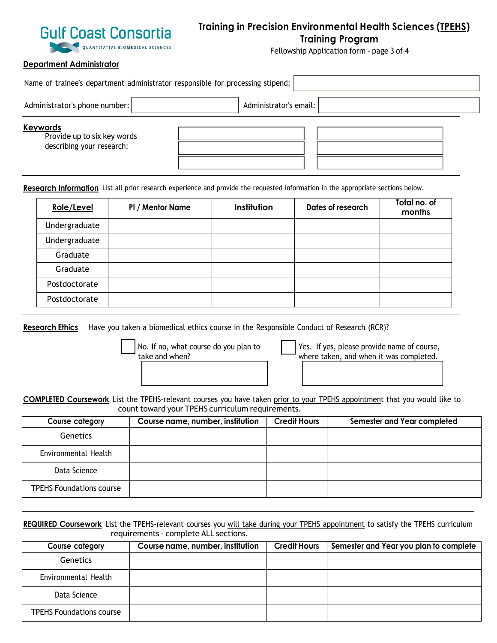

## **Training in Precision Environmental Health Sciences (TPEHS) Training Program**

Fellowship Application form - page 3 of 4

#### **Department Administrator**

| Name of trainee's department administrator responsible for processing stipend: |                        |  |  |  |  |
|--------------------------------------------------------------------------------|------------------------|--|--|--|--|
| Administrator's phone number:                                                  | Administrator's email: |  |  |  |  |
| <b>Keywords</b><br>Provide up to six key words<br>describing your research:    |                        |  |  |  |  |

**Research Information** List all prior research experience and provide the requested information in the appropriate sections below.

| <b>Role/Level</b> | PI / Mentor Name | Institution | Dates of research | Total no. of<br>months |
|-------------------|------------------|-------------|-------------------|------------------------|
| Undergraduate     |                  |             |                   |                        |
| Undergraduate     |                  |             |                   |                        |
| Graduate          |                  |             |                   |                        |
| Graduate          |                  |             |                   |                        |
| Postdoctorate     |                  |             |                   |                        |
| Postdoctorate     |                  |             |                   |                        |

**Research Ethics** Have you taken a biomedical ethics course in the Responsible Conduct of Research (RCR)?

No. If no, what course do you plan to take and when?

Yes. If yes, please provide name of course, where taken, and when it was completed.

**COMPLETED Coursework** List the TPEHS-relevant courses you have taken prior to your TPEHS appointment that you would like to count toward your TPEHS curriculum requirements.

| Course category                 | Course name, number, institution | <b>Credit Hours</b> | Semester and Year completed |
|---------------------------------|----------------------------------|---------------------|-----------------------------|
| <b>Genetics</b>                 |                                  |                     |                             |
| Environmental Health            |                                  |                     |                             |
| Data Science                    |                                  |                     |                             |
| <b>TPEHS Foundations course</b> |                                  |                     |                             |

**REQUIRED Coursework** List the TPEHS-relevant courses you will take during your TPEHS appointment to satisfy the TPEHS curriculum requirements - complete ALL sections.

| Course category                 | Course name, number, institution | <b>Credit Hours</b> | Semester and Year you plan to complete |
|---------------------------------|----------------------------------|---------------------|----------------------------------------|
| <b>Genetics</b>                 |                                  |                     |                                        |
| Environmental Health            |                                  |                     |                                        |
| Data Science                    |                                  |                     |                                        |
| <b>TPEHS Foundations course</b> |                                  |                     |                                        |